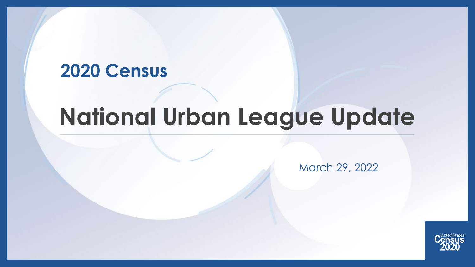### **2020 Census**

# **National Urban League Update**

March 29, 2022

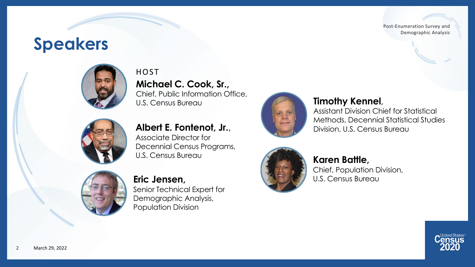### **Speakers**



**Michael C. Cook, Sr.,**  Chief, Public Information Office, U.S. Census Bureau **HOST** 



**Albert E. Fontenot, Jr.,**<br>Associate Director for Decennial Census Programs, U.S. Census Bureau



**Eric Jensen,** Senior Technical Expert for Demographic Analysis, Population Division



**Timothy Kennel,<br>Assistant Division Chief for Statistical** Methods, Decennial Statistical Studies Division, U.S. Census Bureau



#### **Karen Battle,** Chief, Population Division,

U.S. Census Bureau

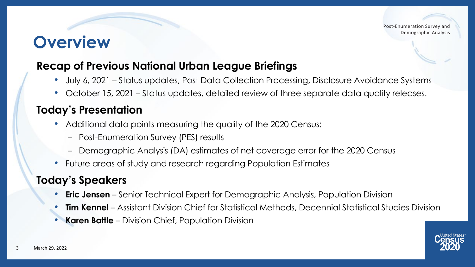### **Overview**

#### **Recap of Previous National Urban League Briefings**

- July 6, 2021 Status updates, Post Data Collection Processing, Disclosure Avoidance Systems
- October 15, 2021 Status updates, detailed review of three separate data quality releases.

#### **Today's Presentation**

- Additional data points measuring the quality of the 2020 Census:
	- Post-Enumeration Survey (PES) results
	- Demographic Analysis (DA) estimates of net coverage error for the 2020 Census
- Future areas of study and research regarding Population Estimates

#### **Today's Speakers**

- **Eric Jensen** Senior Technical Expert for Demographic Analysis, Population Division
- **Tim Kennel**  Assistant Division Chief for Statistical Methods, Decennial Statistical Studies Division
- **Karen Battle**  Division Chief, Population Division

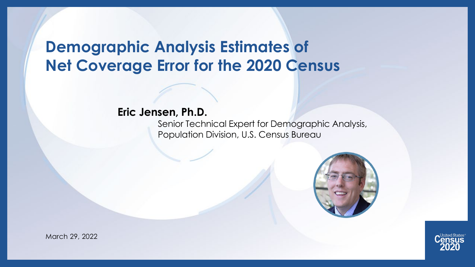### **Demographic Analysis Estimates of Net Coverage Error for the 2020 Census**

#### **Eric Jensen, Ph.D.**

Senior Technical Expert for Demographic Analysis, Population Division, U.S. Census Bureau





March 29, 2022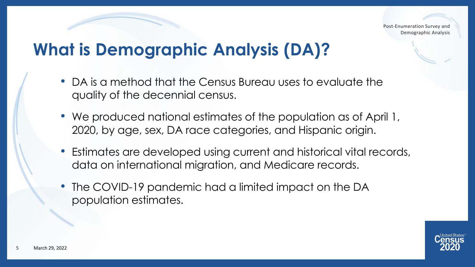### **What is Demographic Analysis (DA)?**

- DA is a method that the Census Bureau uses to evaluate the quality of the decennial census.
- We produced national estimates of the population as of April 1, 2020, by age, sex, DA race categories, and Hispanic origin.
- Estimates are developed using current and historical vital records, data on international migration, and Medicare records.
- The COVID-19 pandemic had a limited impact on the DA population estimates.

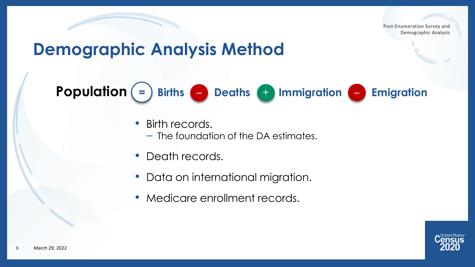### **Demographic Analysis Method**

**Population = Births** – **Deaths** + **Immigration** – **Emigration**

- Birth records.
	- The foundation of the DA estimates.
- Death records.
- Data on international migration.
- Medicare enrollment records.

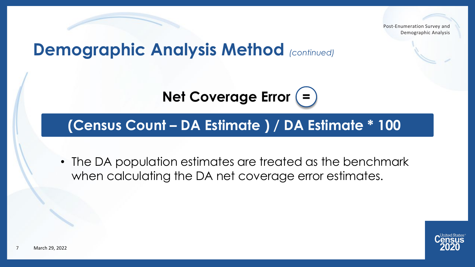### **Demographic Analysis Method** *(continued)*

**Net Coverage Error (=)** 

#### **(Census Count – DA Estimate ) / DA Estimate \* 100**

• The DA population estimates are treated as the benchmark when calculating the DA net coverage error estimates.

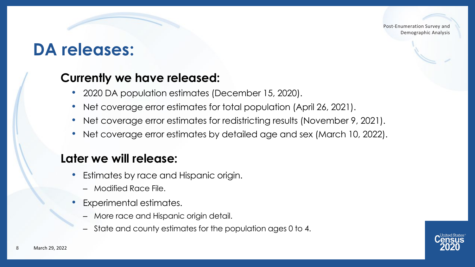#### **DA releases:**

#### **Currently we have released:**

- 2020 DA population estimates (December 15, 2020).
- Net coverage error estimates for total population (April 26, 2021).
- Net coverage error estimates for redistricting results (November 9, 2021).
- Net coverage error estimates by detailed age and sex (March 10, 2022).

#### **Later we will release:**

- Estimates by race and Hispanic origin.
	- ‒ Modified Race File.
- Experimental estimates.
	- ‒ More race and Hispanic origin detail.
	- ‒ State and county estimates for the population ages 0 to 4.

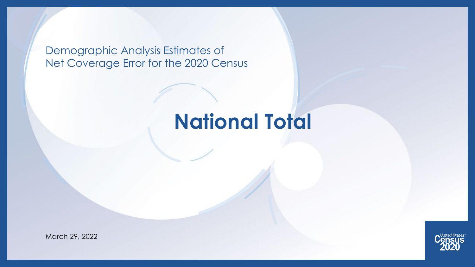Demographic Analysis Estimates of Net Coverage Error for the 2020 Census

## **National Total**

March 29, 2022

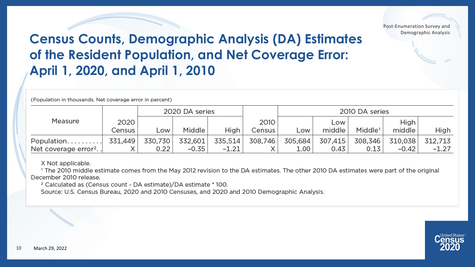

#### **Census Counts, Demographic Analysis (DA) Estimates of the Resident Population, and Net Coverage Error: April 1, 2020, and April 1, 2010**

(Population in thousands. Net coverage error in percent)

|                                   | 2020 DA series |         |         |         | 2010 DA series |                   |         |                     |         |         |
|-----------------------------------|----------------|---------|---------|---------|----------------|-------------------|---------|---------------------|---------|---------|
| Measure                           | 2020           |         |         |         | 2010           |                   | Low     |                     | High    |         |
|                                   | Census         | _OW     | Middle  | High    | Census         | _OW               | middle  | Middle <sup>1</sup> | middle  | High    |
| Population                        | 331,449        | 330,730 | 332,601 | 335,514 | 308,746        | 305,684           | 307,415 | 308,346             | 310.038 | 312.713 |
| Net coverage error <sup>2</sup> . |                | 0.22    | $-0.35$ | $-1.21$ |                | 1.00 <sup>1</sup> | 0.43    | 0.13                | $-0.42$ | $-1.27$ |

X Not applicable.

<sup>1</sup> The 2010 middle estimate comes from the May 2012 revision to the DA estimates. The other 2010 DA estimates were part of the original December 2010 release.

<sup>2</sup> Calculated as (Census count - DA estimate)/DA estimate \* 100.

Source: U.S. Census Bureau, 2020 and 2010 Censuses, and 2020 and 2010 Demographic Analysis.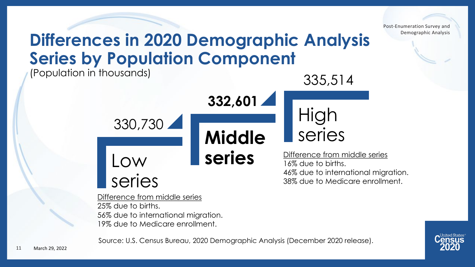**Differences in 2020 Demographic Analysis Series by Population Component**

(Population in thousands)

335,514

Low series **Middle**  series 330,730 **series** High **332,601** Difference from middle series 16% due to births. 46% due to international migration. 38% due to Medicare enrollment.

Difference from middle series 25% due to births. 56% due to international migration. 19% due to Medicare enrollment.

Source: U.S. Census Bureau, 2020 Demographic Analysis (December 2020 release).



Post-Enumeration Survey and

Demographic Analysis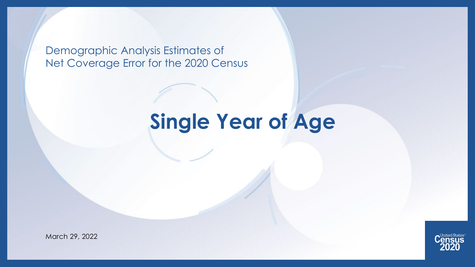Demographic Analysis Estimates of Net Coverage Error for the 2020 Census

## **Single Year of Age**



March 29, 2022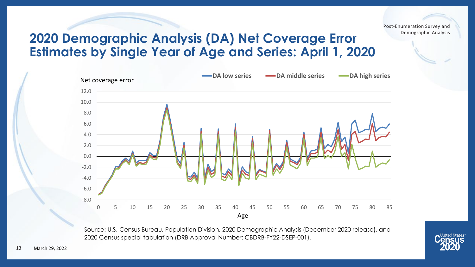#### **2020 Demographic Analysis (DA) Net Coverage Error Estimates by Single Year of Age and Series: April 1, 2020**



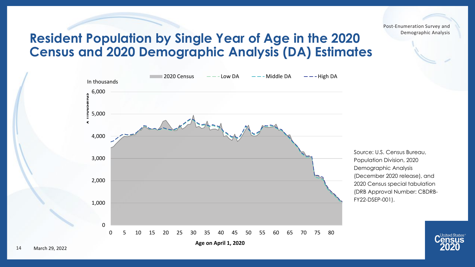#### **Resident Population by Single Year of Age in the 2020 Census and 2020 Demographic Analysis (DA) Estimates**



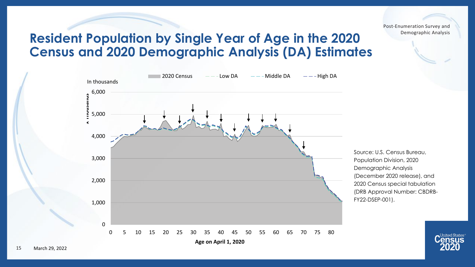#### **Resident Population by Single Year of Age in the 2020 Census and 2020 Demographic Analysis (DA) Estimates**



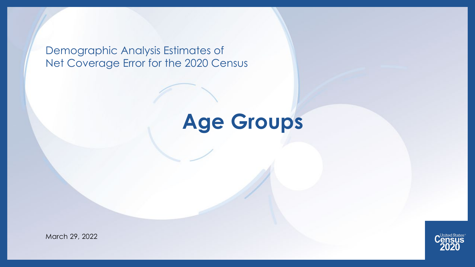Demographic Analysis Estimates of Net Coverage Error for the 2020 Census

## **Age Groups**

March 29, 2022

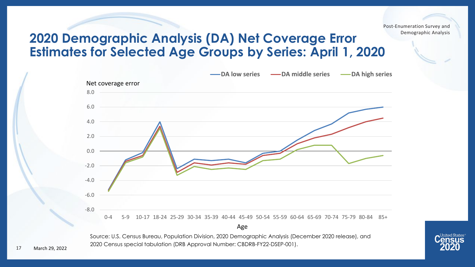#### **2020 Demographic Analysis (DA) Net Coverage Error Estimates for Selected Age Groups by Series: April 1, 2020**



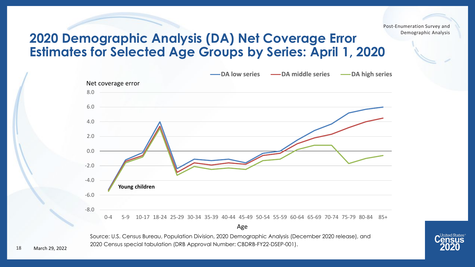#### **2020 Demographic Analysis (DA) Net Coverage Error Estimates for Selected Age Groups by Series: April 1, 2020**



Source: U.S. Census Bureau, Population Division, 2020 Demographic Analysis (December 2020 release), and 2020 Census special tabulation (DRB Approval Number: CBDRB-FY22-DSEP-001).

18 March 29, 2022 **United States**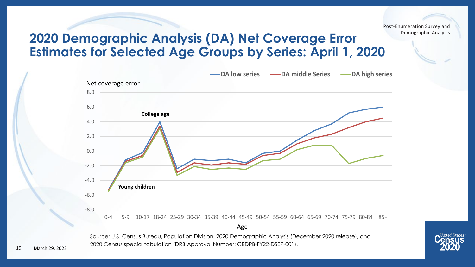#### **2020 Demographic Analysis (DA) Net Coverage Error Estimates for Selected Age Groups by Series: April 1, 2020**



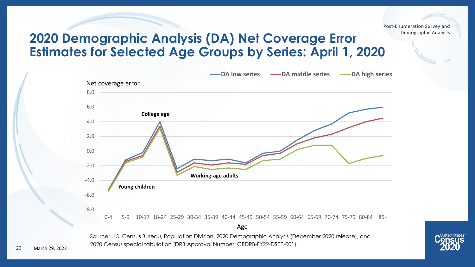#### **2020 Demographic Analysis (DA) Net Coverage Error Estimates for Selected Age Groups by Series: April 1, 2020**



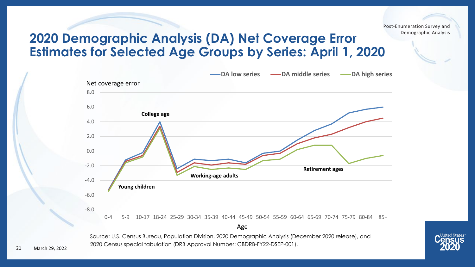#### **2020 Demographic Analysis (DA) Net Coverage Error Estimates for Selected Age Groups by Series: April 1, 2020**



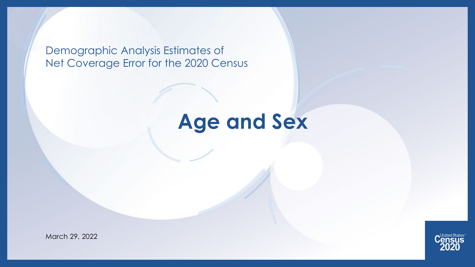Demographic Analysis Estimates of Net Coverage Error for the 2020 Census

## **Age and Sex**

March 29, 2022

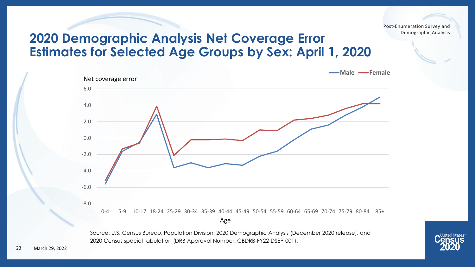#### **2020 Demographic Analysis Net Coverage Error Estimates for Selected Age Groups by Sex: April 1, 2020**



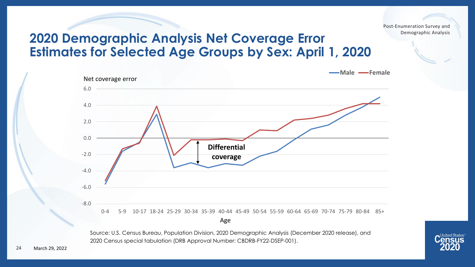**United States** 

#### **2020 Demographic Analysis Net Coverage Error Estimates for Selected Age Groups by Sex: April 1, 2020**

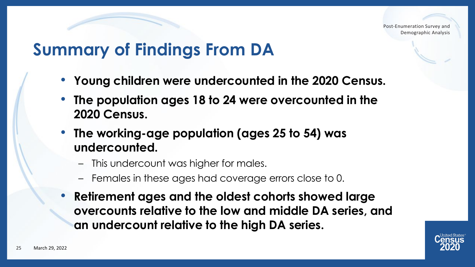### **Summary of Findings From DA**

- **Young children were undercounted in the 2020 Census.**
- **The population ages 18 to 24 were overcounted in the 2020 Census.**
- **The working-age population (ages 25 to 54) was undercounted.**
	- This undercount was higher for males.
	- Females in these ages had coverage errors close to 0.
- **Retirement ages and the oldest cohorts showed large overcounts relative to the low and middle DA series, and an undercount relative to the high DA series.**

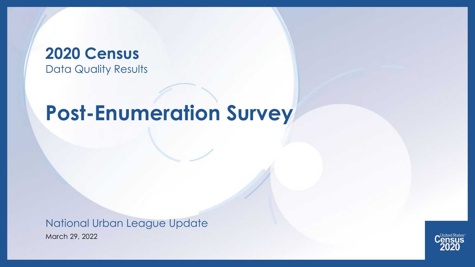#### **2020 Census**  Data Quality Results

## **Post-Enumeration Survey**

March 29, 2022 National Urban League Update

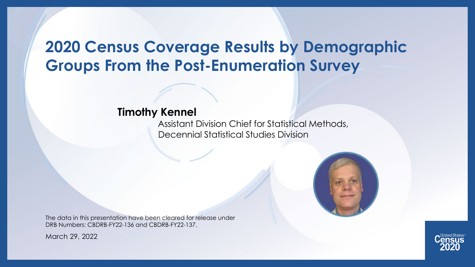### **2020 Census Coverage Results by Demographic Groups From the Post-Enumeration Survey**

#### **Timothy Kennel**

Assistant Division Chief for Statistical Methods, Decennial Statistical Studies Division



March 29, 2022



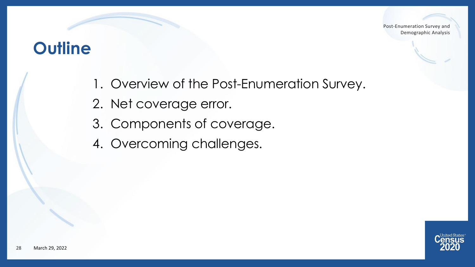#### **Outline**

- 1. Overview of the Post-Enumeration Survey.
- 2. Net coverage error.
- 3. Components of coverage.
- 4. Overcoming challenges.

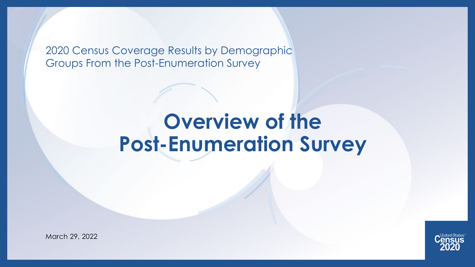2020 Census Coverage Results by Demographic Groups From the Post-Enumeration Survey

## **Overview of the Post-Enumeration Survey**



March 29, 2022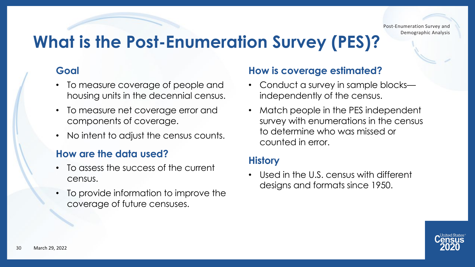### **What is the Post-Enumeration Survey (PES)?**

#### **Goal**

- To measure coverage of people and housing units in the decennial census.
- To measure net coverage error and components of coverage.
- No intent to adjust the census counts.

#### **How are the data used?**

- To assess the success of the current census.
- To provide information to improve the coverage of future censuses.

#### **How is coverage estimated?**

- Conduct a survey in sample blocks independently of the census.
- Match people in the PES independent survey with enumerations in the census to determine who was missed or counted in error.

#### **History**

• Used in the U.S. census with different designs and formats since 1950.

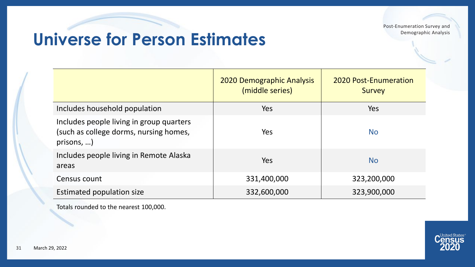### **Universe for Person Estimates**

|                                                                                                | <b>2020 Demographic Analysis</b><br>(middle series) | <b>2020 Post-Enumeration</b><br><b>Survey</b> |
|------------------------------------------------------------------------------------------------|-----------------------------------------------------|-----------------------------------------------|
| Includes household population                                                                  | <b>Yes</b>                                          | Yes                                           |
| Includes people living in group quarters<br>(such as college dorms, nursing homes,<br>prisons, | Yes                                                 | <b>No</b>                                     |
| Includes people living in Remote Alaska<br>areas                                               | Yes                                                 | <b>No</b>                                     |
| Census count                                                                                   | 331,400,000                                         | 323,200,000                                   |
| Estimated population size                                                                      | 332,600,000                                         | 323,900,000                                   |

Totals rounded to the nearest 100,000.

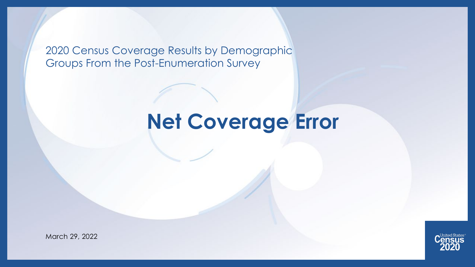2020 Census Coverage Results by Demographic Groups From the Post-Enumeration Survey

## **Net Coverage Error**



March 29, 2022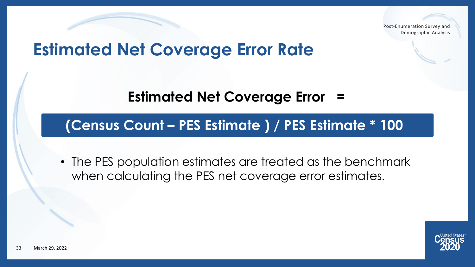### **Estimated Net Coverage Error Rate**

**Estimated Net Coverage Error** 

#### **(Census Count – PES Estimate ) / PES Estimate \* 100**

• The PES population estimates are treated as the benchmark when calculating the PES net coverage error estimates.

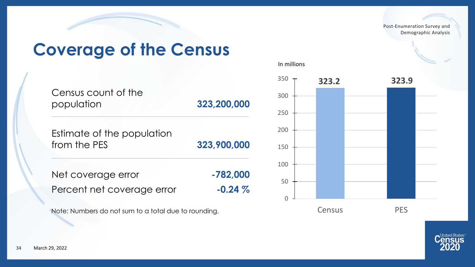### **Coverage of the Census**

| Census count of the<br>population          | 323,200,000 |
|--------------------------------------------|-------------|
| Estimate of the population<br>from the PES | 323,900,000 |
| Net coverage error                         | $-782,000$  |
| Percent net coverage error                 | $-0.24\%$   |

Note: Numbers do not sum to a total due to rounding.





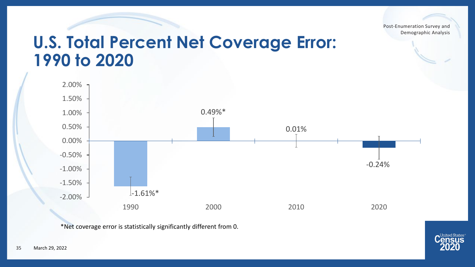#### **U.S. Total Percent Net Coverage Error: 1990 to 2020**



\*Net coverage error is statistically significantly different from 0.

United States ISUS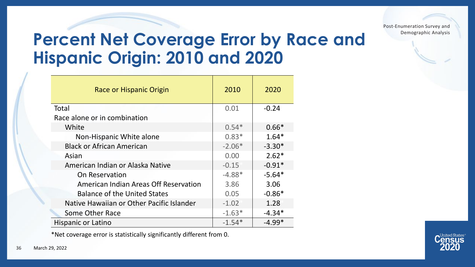### **Percent Net Coverage Error by Race and Hispanic Origin: 2010 and 2020**

| Race or Hispanic Origin                      | 2010     | 2020     |
|----------------------------------------------|----------|----------|
| Total                                        | 0.01     | $-0.24$  |
| Race alone or in combination                 |          |          |
| White                                        | $0.54*$  | $0.66*$  |
| Non-Hispanic White alone                     | $0.83*$  | $1.64*$  |
| <b>Black or African American</b>             | $-2.06*$ | $-3.30*$ |
| Asian                                        | 0.00     | $2.62*$  |
| American Indian or Alaska Native             | $-0.15$  | $-0.91*$ |
| On Reservation                               | $-4.88*$ | $-5.64*$ |
| <b>American Indian Areas Off Reservation</b> | 3.86     | 3.06     |
| <b>Balance of the United States</b>          | 0.05     | $-0.86*$ |
| Native Hawaiian or Other Pacific Islander    | $-1.02$  | 1.28     |
| Some Other Race                              | $-1.63*$ | $-4.34*$ |
| Hispanic or Latino                           | $-1.54*$ | $-4.99*$ |

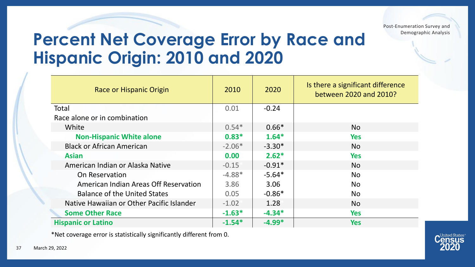### **Percent Net Coverage Error by Race and Hispanic Origin: 2010 and 2020**

| Race or Hispanic Origin                      | 2010     | 2020     | Is there a significant difference<br>between 2020 and 2010? |
|----------------------------------------------|----------|----------|-------------------------------------------------------------|
| Total                                        | 0.01     | $-0.24$  |                                                             |
| Race alone or in combination                 |          |          |                                                             |
| White                                        | $0.54*$  | $0.66*$  | <b>No</b>                                                   |
| <b>Non-Hispanic White alone</b>              | $0.83*$  | $1.64*$  | <b>Yes</b>                                                  |
| <b>Black or African American</b>             | $-2.06*$ | $-3.30*$ | <b>No</b>                                                   |
| <b>Asian</b>                                 | 0.00     | $2.62*$  | <b>Yes</b>                                                  |
| American Indian or Alaska Native             | $-0.15$  | $-0.91*$ | <b>No</b>                                                   |
| On Reservation                               | $-4.88*$ | $-5.64*$ | <b>No</b>                                                   |
| <b>American Indian Areas Off Reservation</b> | 3.86     | 3.06     | No.                                                         |
| <b>Balance of the United States</b>          | 0.05     | $-0.86*$ | <b>No</b>                                                   |
| Native Hawaiian or Other Pacific Islander    | $-1.02$  | 1.28     | <b>No</b>                                                   |
| <b>Some Other Race</b>                       | $-1.63*$ | $-4.34*$ | <b>Yes</b>                                                  |
| <b>Hispanic or Latino</b>                    | $-1.54*$ | $-4.99*$ | <b>Yes</b>                                                  |

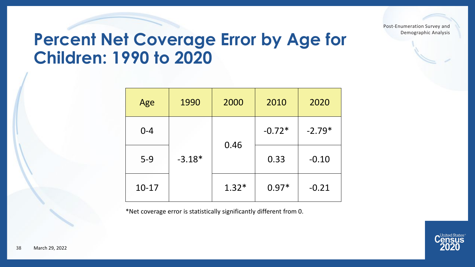### **Percent Net Coverage Error by Age for Children: 1990 to 2020**

| Age     | 1990     | 2000    | 2010     | 2020     |
|---------|----------|---------|----------|----------|
| $0 - 4$ |          |         | $-0.72*$ | $-2.79*$ |
| $5-9$   | $-3.18*$ | 0.46    | 0.33     | $-0.10$  |
| $10-17$ |          | $1.32*$ | $0.97*$  | $-0.21$  |

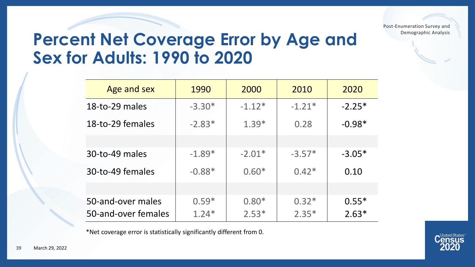### **Percent Net Coverage Error by Age and Sex for Adults: 1990 to 2020**

| Age and sex         | 1990     | 2000     | 2010     | 2020     |
|---------------------|----------|----------|----------|----------|
| 18-to-29 males      | $-3.30*$ | $-1.12*$ | $-1.21*$ | $-2.25*$ |
| 18-to-29 females    | $-2.83*$ | $1.39*$  | 0.28     | $-0.98*$ |
|                     |          |          |          |          |
| 30-to-49 males      | $-1.89*$ | $-2.01*$ | $-3.57*$ | $-3.05*$ |
| 30-to-49 females    | $-0.88*$ | $0.60*$  | $0.42*$  | 0.10     |
|                     |          |          |          |          |
| 50-and-over males   | $0.59*$  | $0.80*$  | $0.32*$  | $0.55*$  |
| 50-and-over females | $1.24*$  | $2.53*$  | $2.35*$  | $2.63*$  |

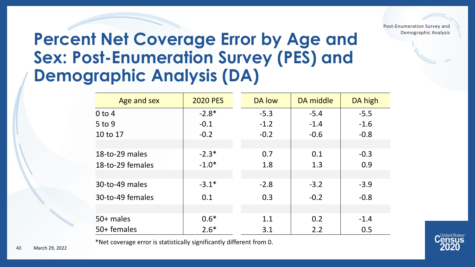### **Percent Net Coverage Error by Age and Sex: Post-Enumeration Survey (PES) and Demographic Analysis (DA)**

| Age and sex      | <b>2020 PES</b> | DA low | DA middle | DA high |
|------------------|-----------------|--------|-----------|---------|
| $0$ to 4         | $-2.8*$         | $-5.3$ | $-5.4$    | $-5.5$  |
| $5$ to 9         | $-0.1$          | $-1.2$ | $-1.4$    | $-1.6$  |
| 10 to 17         | $-0.2$          | $-0.2$ | $-0.6$    | $-0.8$  |
|                  |                 |        |           |         |
| 18-to-29 males   | $-2.3*$         | 0.7    | 0.1       | $-0.3$  |
| 18-to-29 females | $-1.0*$         | 1.8    | 1.3       | 0.9     |
|                  |                 |        |           |         |
| 30-to-49 males   | $-3.1*$         | $-2.8$ | $-3.2$    | $-3.9$  |
| 30-to-49 females | 0.1             | 0.3    | $-0.2$    | $-0.8$  |
|                  |                 |        |           |         |
| 50+ males        | $0.6*$          | 1.1    | 0.2       | $-1.4$  |
| 50+ females      | $2.6*$          | 3.1    | 2.2       | 0.5     |

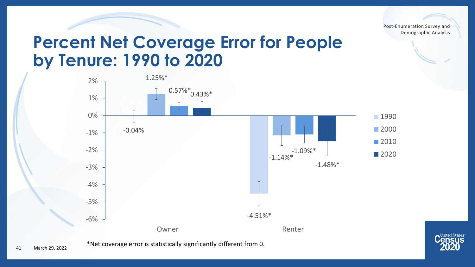### **Percent Net Coverage Error for People by Tenure: 1990 to 2020**



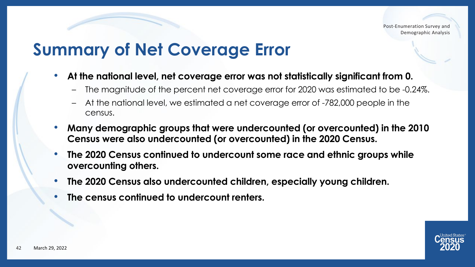### **Summary of Net Coverage Error**

- **At the national level, net coverage error was not statistically significant from 0.**
	- The magnitude of the percent net coverage error for 2020 was estimated to be -0.24%.
	- At the national level, we estimated a net coverage error of -782,000 people in the census.
- **Many demographic groups that were undercounted (or overcounted) in the 2010 Census were also undercounted (or overcounted) in the 2020 Census.**
- **The 2020 Census continued to undercount some race and ethnic groups while overcounting others.**
- **The 2020 Census also undercounted children, especially young children.**
- **The census continued to undercount renters.**

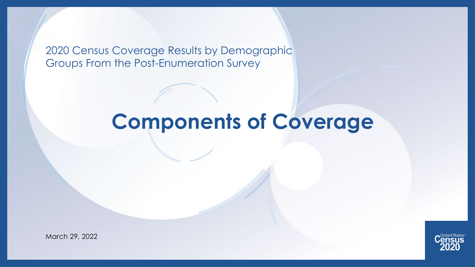2020 Census Coverage Results by Demographic Groups From the Post-Enumeration Survey

## **Components of Coverage**

March 29, 2022

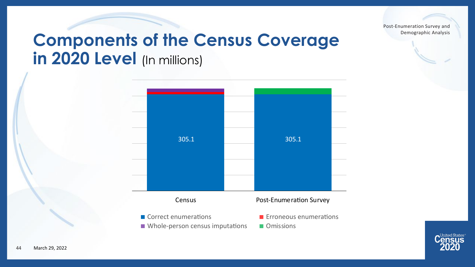### **Components of the Census Coverage in 2020 Level** (In millions)



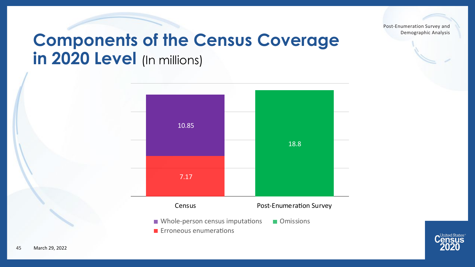

### **Components of the Census Coverage in 2020 Level** (In millions)



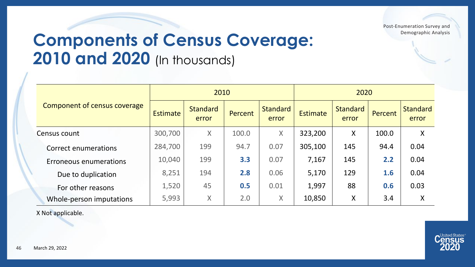### **Components of Census Coverage: 2010 and 2020** (In thousands)

|                               |                 | 2010                     |         |                          | 2020            |                          |         |                          |
|-------------------------------|-----------------|--------------------------|---------|--------------------------|-----------------|--------------------------|---------|--------------------------|
| Component of census coverage  | <b>Estimate</b> | <b>Standard</b><br>error | Percent | <b>Standard</b><br>error | <b>Estimate</b> | <b>Standard</b><br>error | Percent | <b>Standard</b><br>error |
| Census count                  | 300,700         | $\sf X$                  | 100.0   | $\mathsf{X}$             | 323,200         | X                        | 100.0   | X                        |
| Correct enumerations          | 284,700         | 199                      | 94.7    | 0.07                     | 305,100         | 145                      | 94.4    | 0.04                     |
| <b>Erroneous enumerations</b> | 10,040          | 199                      | 3.3     | 0.07                     | 7,167           | 145                      | 2.2     | 0.04                     |
| Due to duplication            | 8,251           | 194                      | 2.8     | 0.06                     | 5,170           | 129                      | 1.6     | 0.04                     |
| For other reasons             | 1,520           | 45                       | 0.5     | 0.01                     | 1,997           | 88                       | 0.6     | 0.03                     |
| Whole-person imputations      | 5,993           | X                        | 2.0     | X                        | 10,850          | X                        | 3.4     | X                        |

X Not applicable.

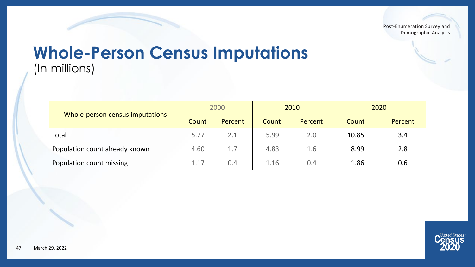#### **Whole-Person Census Imputations** (In millions)

|                                 | 2000  |         |              | 2010    | 2020  |         |  |
|---------------------------------|-------|---------|--------------|---------|-------|---------|--|
| Whole-person census imputations | Count | Percent | <b>Count</b> | Percent | Count | Percent |  |
| Total                           | 5.77  | 2.1     | 5.99         | 2.0     | 10.85 | 3.4     |  |
| Population count already known  | 4.60  | 1.7     | 4.83         | 1.6     | 8.99  | 2.8     |  |
| Population count missing        | 1.17  | 0.4     | 1.16         | 0.4     | 1.86  | 0.6     |  |

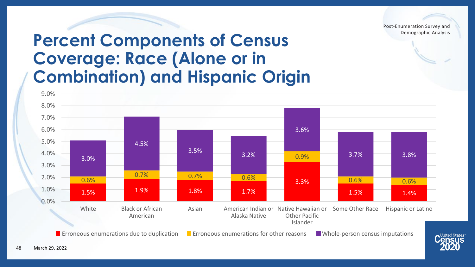### **Percent Components of Census Coverage: Race (Alone or in Combination) and Hispanic Origin**



**Example 20** Erroneous enumerations due to duplication  $\blacksquare$  Erroneous enumerations for other reasons  $\blacksquare$  Whole-person census imputations

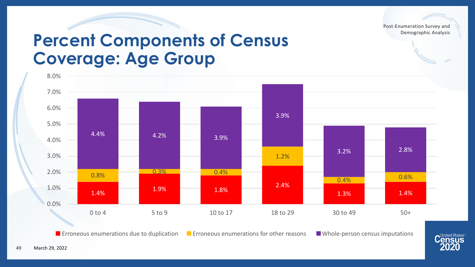### **Percent Components of Census Coverage: Age Group**



**Example 20** Erroneous enumerations due to duplication  $\blacksquare$  Erroneous enumerations for other reasons  $\blacksquare$  Whole-person census imputations

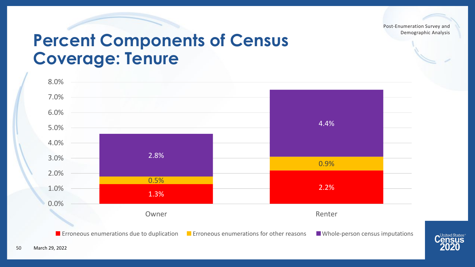### **Percent Components of Census Coverage: Tenure**



**Example 20** Erroneous enumerations due to duplication  $\blacksquare$  Erroneous enumerations for other reasons  $\blacksquare$  Whole-person census imputations



50

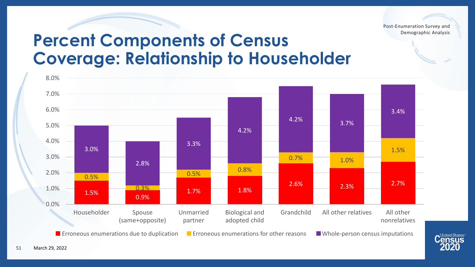> United States<sup>®</sup> *<u>Census</u>*

### **Percent Components of Census Coverage: Relationship to Householder**

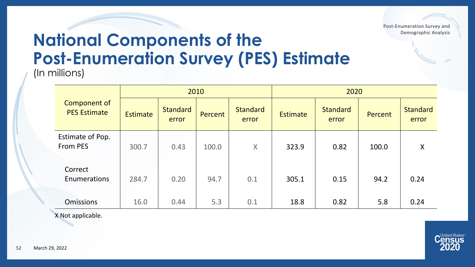## **National Components of the Post-Enumeration Survey (PES) Estimate**

(In millions)

|                                     |                 | 2010                     |         |                          | 2020            |                          |         |                          |  |
|-------------------------------------|-----------------|--------------------------|---------|--------------------------|-----------------|--------------------------|---------|--------------------------|--|
| Component of<br><b>PES Estimate</b> | <b>Estimate</b> | <b>Standard</b><br>error | Percent | <b>Standard</b><br>error | <b>Estimate</b> | <b>Standard</b><br>error | Percent | <b>Standard</b><br>error |  |
| Estimate of Pop.<br><b>From PES</b> | 300.7           | 0.43                     | 100.0   | X                        | 323.9           | 0.82                     | 100.0   | X                        |  |
| Correct<br>Enumerations             | 284.7           | 0.20                     | 94.7    | 0.1                      | 305.1           | 0.15                     | 94.2    | 0.24                     |  |
| <b>Omissions</b>                    | 16.0            | 0.44                     | 5.3     | 0.1                      | 18.8            | 0.82                     | 5.8     | 0.24                     |  |

X Not applicable.

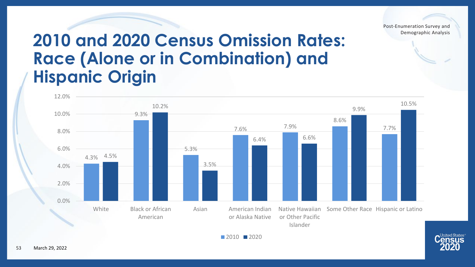

**United States** 

### **2010 and 2020 Census Omission Rates: Race (Alone or in Combination) and Hispanic Origin**





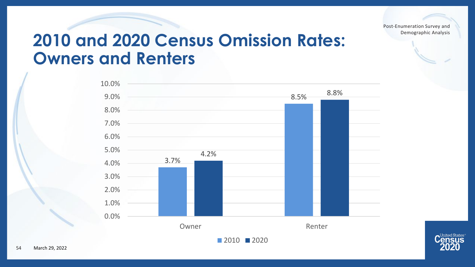### **2010 and 2020 Census Omission Rates: Owners and Renters**



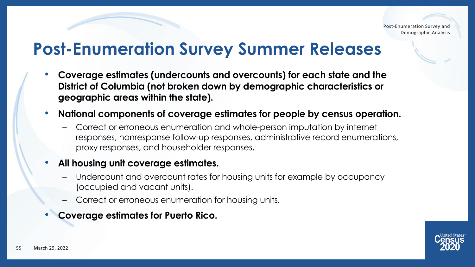### **Post-Enumeration Survey Summer Releases**

- **Coverage estimates (undercounts and overcounts) for each state and the District of Columbia (not broken down by demographic characteristics or geographic areas within the state).**
- **National components of coverage estimates for people by census operation.** 
	- Correct or erroneous enumeration and whole-person imputation by internet responses, nonresponse follow-up responses, administrative record enumerations, proxy responses, and householder responses.

#### • **All housing unit coverage estimates.**

- Undercount and overcount rates for housing units for example by occupancy (occupied and vacant units).
- Correct or erroneous enumeration for housing units.
- **Coverage estimates for Puerto Rico.**

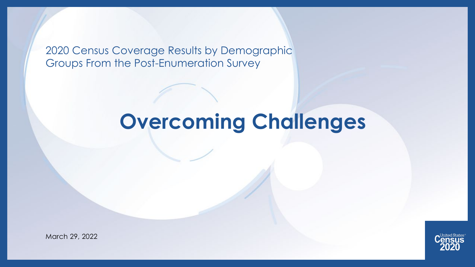2020 Census Coverage Results by Demographic Groups From the Post-Enumeration Survey

## **Overcoming Challenges**



March 29, 2022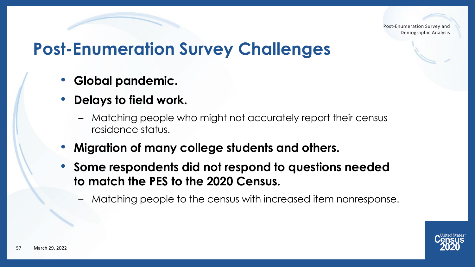### **Post-Enumeration Survey Challenges**

- **Global pandemic.**
- **Delays to field work.**
	- Matching people who might not accurately report their census residence status.
- **Migration of many college students and others.**
- **Some respondents did not respond to questions needed to match the PES to the 2020 Census.**
	- Matching people to the census with increased item nonresponse.

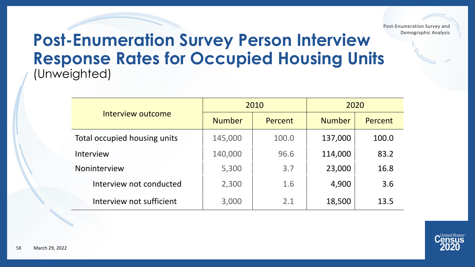#### **Post-Enumeration Survey Person Interview Response Rates for Occupied Housing Units**  (Unweighted)

|                              |               | 2010    | 2020          |         |  |
|------------------------------|---------------|---------|---------------|---------|--|
| Interview outcome            | <b>Number</b> | Percent | <b>Number</b> | Percent |  |
| Total occupied housing units | 145,000       | 100.0   | 137,000       | 100.0   |  |
| Interview                    | 140,000       | 96.6    | 114,000       | 83.2    |  |
| Noninterview                 | 5,300         | 3.7     | 23,000        | 16.8    |  |
| Interview not conducted      | 2,300         | 1.6     | 4,900         | 3.6     |  |
| Interview not sufficient     | 3,000         | 2.1     | 18,500        | 13.5    |  |

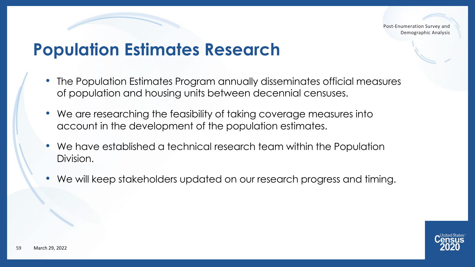### **Population Estimates Research**

- The Population Estimates Program annually disseminates official measures of population and housing units between decennial censuses.
- We are researching the feasibility of taking coverage measures into account in the development of the population estimates.
- We have established a technical research team within the Population Division.
- We will keep stakeholders updated on our research progress and timing.

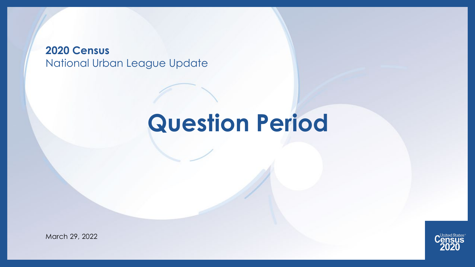#### **2020 Census**  National Urban League Update

## **Question Period**



March 29, 2022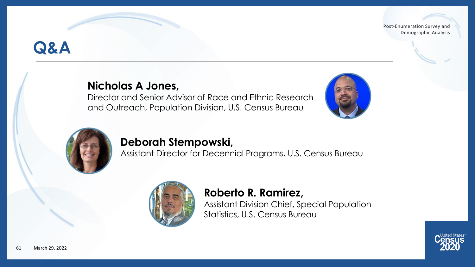### **Q&A**

#### **Nicholas A Jones,**

Director and Senior Advisor of Race and Ethnic Research and Outreach, Population Division, U.S. Census Bureau





#### **Deborah Stempowski,**

Assistant Director for Decennial Programs, U.S. Census Bureau



#### **Roberto R. Ramirez,**

Assistant Division Chief, Special Population Statistics, U.S. Census Bureau

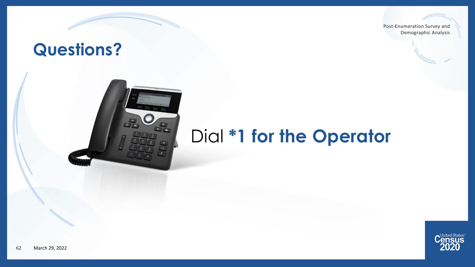### **Questions?**



## Dial **\*1 for the Operator**

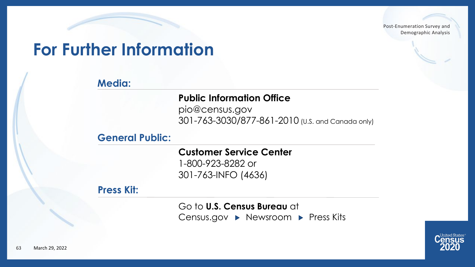### **For Further Information**

#### **Media:**

#### **Public Information Office**

pio@census.gov 301-763-3030/877-861-2010 (U.S. and Canada only)

#### **General Public:**

**Customer Service Center** 1-800-923-8282 or 301-763-INFO (4636)

#### **Press Kit:**

Go to **U.S. Census Bureau** at Census.gov ▶ Newsroom ▶ Press Kits

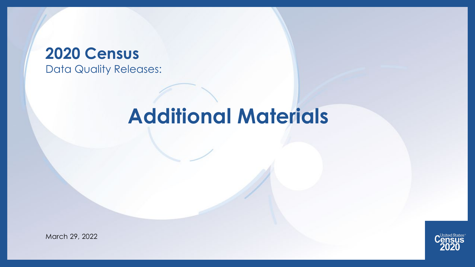#### **2020 Census**  Data Quality Releases:

## **Additional Materials**